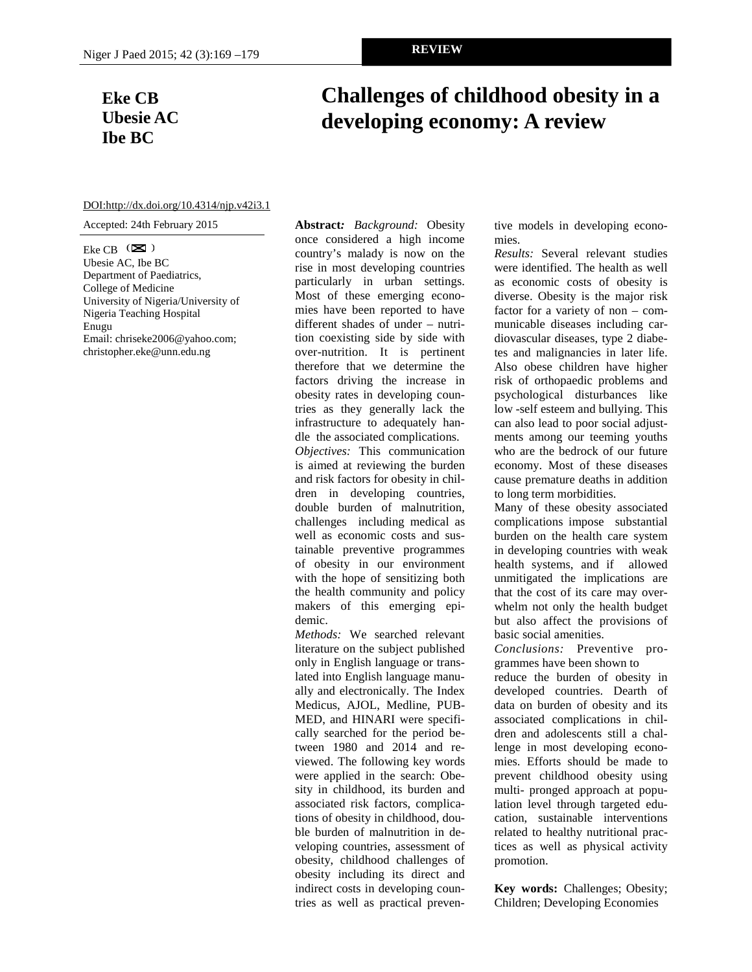## **Eke CB Ubesie AC Ibe BC**

# **Challenges of childhood obesity in a developing economy: A review**

#### DOI:http://dx.doi.org/10.4314/njp.v42i3.1

Accepted: 24th February 2015

Eke CB  $(\mathbf{\boxtimes})$ Ubesie AC, Ibe BC Department of Paediatrics, College of Medicine University of Nigeria/University of Nigeria Teaching Hospital Enugu Email: chriseke2006@yahoo.com; christopher.eke@unn.edu.ng

**Abstract***: Background:* Obesity once considered a high income country's malady is now on the rise in most developing countries particularly in urban settings. Most of these emerging economies have been reported to have different shades of under – nutrition coexisting side by side with over-nutrition. It is pertinent therefore that we determine the factors driving the increase in obesity rates in developing countries as they generally lack the infrastructure to adequately handle the associated complications. *Objectives:* This communication is aimed at reviewing the burden and risk factors for obesity in children in developing countries, double burden of malnutrition, challenges including medical as well as economic costs and sustainable preventive programmes of obesity in our environment with the hope of sensitizing both the health community and policy makers of this emerging epidemic.

*Methods:* We searched relevant literature on the subject published only in English language or translated into English language manually and electronically. The Index Medicus, AJOL, Medline, PUB-MED, and HINARI were specifically searched for the period between 1980 and 2014 and reviewed. The following key words were applied in the search: Obesity in childhood, its burden and associated risk factors, complications of obesity in childhood, double burden of malnutrition in developing countries, assessment of obesity, childhood challenges of obesity including its direct and indirect costs in developing countries as well as practical preventive models in developing economies.

*Results:* Several relevant studies were identified. The health as well as economic costs of obesity is diverse. Obesity is the major risk factor for a variety of non – communicable diseases including cardiovascular diseases, type 2 diabetes and malignancies in later life. Also obese children have higher risk of orthopaedic problems and psychological disturbances like low -self esteem and bullying. This can also lead to poor social adjustments among our teeming youths who are the bedrock of our future economy. Most of these diseases cause premature deaths in addition to long term morbidities.

Many of these obesity associated complications impose substantial burden on the health care system in developing countries with weak health systems, and if allowed unmitigated the implications are that the cost of its care may overwhelm not only the health budget but also affect the provisions of basic social amenities.

*Conclusions:* Preventive programmes have been shown to

reduce the burden of obesity in developed countries. Dearth of data on burden of obesity and its associated complications in children and adolescents still a challenge in most developing economies. Efforts should be made to prevent childhood obesity using multi- pronged approach at population level through targeted education, sustainable interventions related to healthy nutritional practices as well as physical activity promotion.

**Key words:** Challenges; Obesity; Children; Developing Economies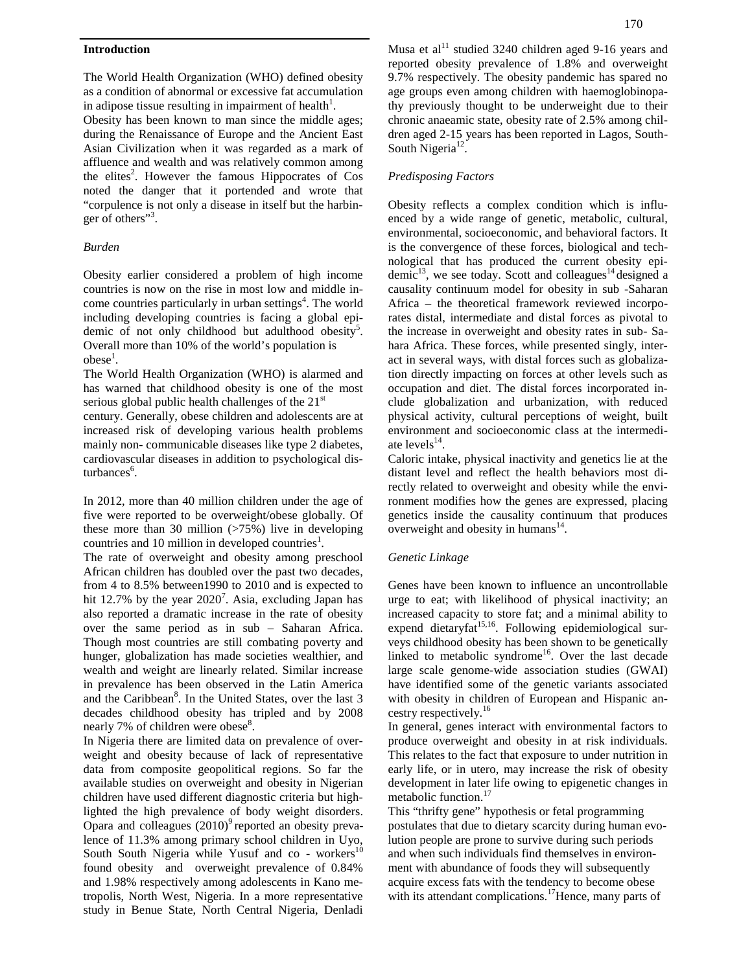#### **Introduction**

The World Health Organization (WHO) defined obesity as a condition of abnormal or excessive fat accumulation in adipose tissue resulting in impairment of health $^1$ .

Obesity has been known to man since the middle ages; during the Renaissance of Europe and the Ancient East Asian Civilization when it was regarded as a mark of affluence and wealth and was relatively common among the elites<sup>2</sup>. However the famous Hippocrates of  $\cos$  P noted the danger that it portended and wrote that "corpulence is not only a disease in itself but the harbinger of others"<sup>3</sup>.

## *Burden*

Obesity earlier considered a problem of high income countries is now on the rise in most low and middle income countries particularly in urban settings<sup>4</sup>. The world Afri including developing countries is facing a global epidemic of not only childhood but adulthood obesity<sup>5</sup>. Overall more than 10% of the world's population is  $\text{obese}^1$ .

The World Health Organization (WHO) is alarmed and has warned that childhood obesity is one of the most serious global public health challenges of the  $21<sup>st</sup>$ 

century. Generally, obese children and adolescents are at increased risk of developing various health problems mainly non- communicable diseases like type 2 diabetes, cardiovascular diseases in addition to psychological disturbances<sup>6</sup>. .

In 2012, more than 40 million children under the age of five were reported to be overweight/obese globally. Of these more than 30 million  $(>75%)$  live in developing countries and 10 million in developed countries<sup>1</sup>.

The rate of overweight and obesity among preschool African children has doubled over the past two decades, from 4 to 8.5% between1990 to 2010 and is expected to hit 12.7% by the year  $2020^7$ . Asia, excluding Japan has ur also reported a dramatic increase in the rate of obesity over the same period as in sub – Saharan Africa. Though most countries are still combating poverty and hunger, globalization has made societies wealthier, and wealth and weight are linearly related. Similar increase in prevalence has been observed in the Latin America and the Caribbean<sup>8</sup>. In the United States, over the last 3 with decades childhood obesity has tripled and by 2008 nearly 7% of children were obese<sup>8</sup>.

In Nigeria there are limited data on prevalence of overweight and obesity because of lack of representative data from composite geopolitical regions. So far the available studies on overweight and obesity in Nigerian children have used different diagnostic criteria but highlighted the high prevalence of body weight disorders. Opara and colleagues  $(2010)^9$  reported an obesity prevalence of 11.3% among primary school children in Uyo, South South Nigeria while Yusuf and  $\cos$  - workers<sup>10</sup> found obesity and overweight prevalence of 0.84% and 1.98% respectively among adolescents in Kano metropolis, North West, Nigeria. In a more representative study in Benue State, North Central Nigeria, Denladi

Musa et al<sup>11</sup> studied 3240 children aged 9-16 years and reported obesity prevalence of 1.8% and overweight 9.7% respectively. The obesity pandemic has spared no age groups even among children with haemoglobinopathy previously thought to be underweight due to their chronic anaeamic state, obesity rate of 2.5% among children aged 2-15 years has been reported in Lagos, South- South Nigeria<sup>12</sup>.

## *Predisposing Factors*

Obesity reflects a complex condition which is influenced by a wide range of genetic, metabolic, cultural, environmental, socioeconomic, and behavioral factors. It is the convergence of these forces, biological and technological that has produced the current obesity epidemic<sup>13</sup>, we see today. Scott and colleagues<sup>14</sup> designed a causality continuum model for obesity in sub -Saharan Africa – the theoretical framework reviewed incorporates distal, intermediate and distal forces as pivotal to the increase in overweight and obesity rates in sub- Sahara Africa. These forces, while presented singly, interact in several ways, with distal forces such as globalization directly impacting on forces at other levels such as occupation and diet. The distal forces incorporated include globalization and urbanization, with reduced physical activity, cultural perceptions of weight, built environment and socioeconomic class at the intermediate  $levels^{14}$ .

Caloric intake, physical inactivity and genetics lie at the distant level and reflect the health behaviors most directly related to overweight and obesity while the environment modifies how the genes are expressed, placing genetics inside the causality continuum that produces overweight and obesity in humans $^{14}$ .

## *Genetic Linkage*

Genes have been known to influence an uncontrollable urge to eat; with likelihood of physical inactivity; an increased capacity to store fat; and a minimal ability to expend dietaryfat<sup>15,16</sup>. Following epidemiological surveys childhood obesity has been shown to be genetically linked to metabolic syndrome<sup>16</sup>. Over the last decade large scale genome-wide association studies (GWAI) have identified some of the genetic variants associated with obesity in children of European and Hispanic ancestry respectively.<sup>16</sup>

In general, genes interact with environmental factors to produce overweight and obesity in at risk individuals. This relates to the fact that exposure to under nutrition in early life, or in utero, may increase the risk of obesity development in later life owing to epigenetic changes in metabolic function.<sup>17</sup>

This "thrifty gene" hypothesis or fetal programming postulates that due to dietary scarcity during human evolution people are prone to survive during such periods and when such individuals find themselves in environment with abundance of foods they will subsequently acquire excess fats with the tendency to become obese with its attendant complications.<sup>17</sup>Hence, many parts of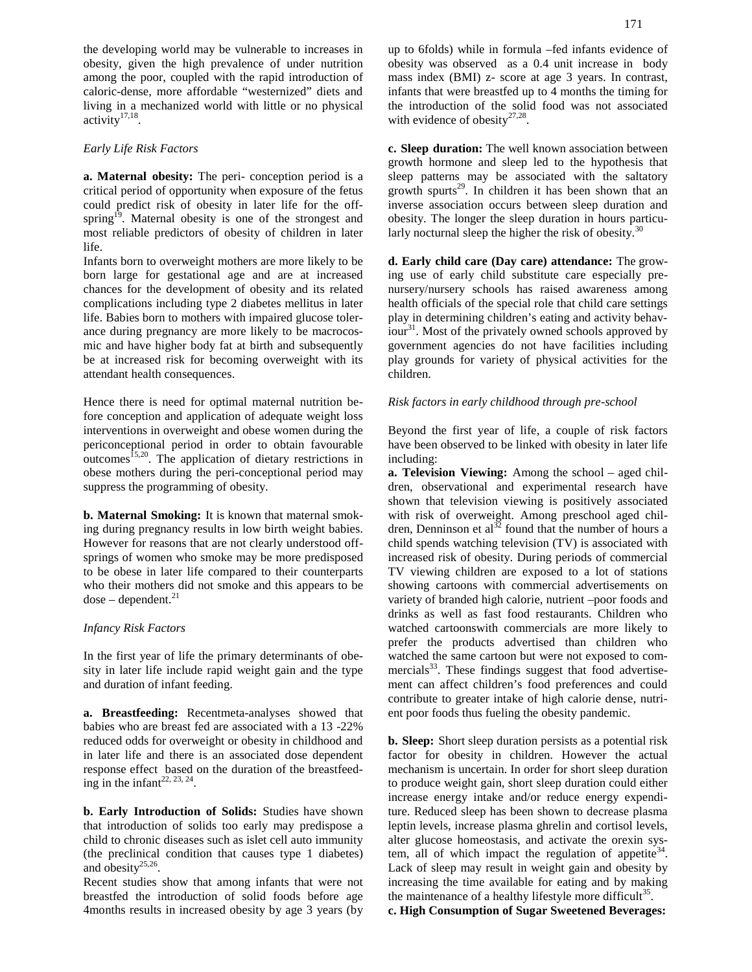the developing world may be vulnerable to increases in obesity, given the high prevalence of under nutrition among the poor, coupled with the rapid introduction of caloric-dense, more affordable "westernized" diets and living in a mechanized world with little or no physical activity $17,18$ . .

## *Early Life Risk Factors*

**a. Maternal obesity:** The peri- conception period is a critical period of opportunity when exposure of the fetus could predict risk of obesity in later life for the offspring<sup>19</sup>. Maternal obesity is one of the strongest and most reliable predictors of obesity of children in later life.

Infants born to overweight mothers are more likely to be born large for gestational age and are at increased chances for the development of obesity and its related complications including type 2 diabetes mellitus in later life. Babies born to mothers with impaired glucose tolerance during pregnancy are more likely to be macrocosmic and have higher body fat at birth and subsequently be at increased risk for becoming overweight with its attendant health consequences.

Hence there is need for optimal maternal nutrition before conception and application of adequate weight loss interventions in overweight and obese women during the periconceptional period in order to obtain favourable  $outcomes$ <sup> $15,20$ </sup>. The application of dietary restrictions in obese mothers during the peri-conceptional period may suppress the programming of obesity.

**b. Maternal Smoking:** It is known that maternal smoking during pregnancy results in low birth weight babies. However for reasons that are not clearly understood off springs of women who smoke may be more predisposed to be obese in later life compared to their counterparts who their mothers did not smoke and this appears to be  $dose - dependent.<sup>21</sup>$ 

#### *Infancy Risk Factors*

In the first year of life the primary determinants of obesity in later life include rapid weight gain and the type and duration of infant feeding.

**a. Breastfeeding:** Recentmeta-analyses showed that babies who are breast fed are associated with a 13 -22% reduced odds for overweight or obesity in childhood and in later life and there is an associated dose dependent response effect based on the duration of the breastfeeding in the infant<sup>22, 23, 24</sup>. .

**b. Early Introduction of Solids:** Studies have shown that introduction of solids too early may predispose a child to chronic diseases such as islet cell auto immunity (the preclinical condition that causes type 1 diabetes) and obesity $25,26$ .

Recent studies show that among infants that were not breastfed the introduction of solid foods before age 4months results in increased obesity by age 3 years (by up to 6folds) while in formula –fed infants evidence of obesity was observed as a 0.4 unit increase in body mass index (BMI) z- score at age 3 years. In contrast, infants that were breastfed up to 4 months the timing for the introduction of the solid food was not associated with evidence of obesity $27,28$ .

**c. Sleep duration:** The well known association between growth hormone and sleep led to the hypothesis that sleep patterns may be associated with the saltatory growth spurts<sup>29</sup>. In children it has been shown that an inverse association occurs between sleep duration and obesity. The longer the sleep duration in hours particularly nocturnal sleep the higher the risk of obesity. $30$ 

**d. Early child care (Day care) attendance:** The growing use of early child substitute care especially pre nursery/nursery schools has raised awareness among health officials of the special role that child care settings play in determining children's eating and activity behaviour<sup>31</sup>. Most of the privately owned schools approved by government agencies do not have facilities including play grounds for variety of physical activities for the children.

#### *Risk factors in early childhood through pre-school*

Beyond the first year of life, a couple of risk factors have been observed to be linked with obesity in later life including:

**a. Television Viewing:** Among the school – aged children, observational and experimental research have shown that television viewing is positively associated with risk of overweight. Among preschool aged children, Denninson et al<sup>32</sup> found that the number of hours a child spends watching television (TV) is associated with increased risk of obesity. During periods of commercial TV viewing children are exposed to a lot of stations showing cartoons with commercial advertisements on variety of branded high calorie, nutrient –poor foods and drinks as well as fast food restaurants. Children who watched cartoonswith commercials are more likely to prefer the products advertised than children who watched the same cartoon but were not exposed to commercials $33$ . These findings suggest that food advertisement can affect children's food preferences and could contribute to greater intake of high calorie dense, nutrient poor foods thus fueling the obesity pandemic.

**b. Sleep:** Short sleep duration persists as a potential risk factor for obesity in children. However the actual mechanism is uncertain. In order for short sleep duration to produce weight gain, short sleep duration could either increase energy intake and/or reduce energy expenditure. Reduced sleep has been shown to decrease plasma leptin levels, increase plasma ghrelin and cortisol levels, alter glucose homeostasis, and activate the orexin system, all of which impact the regulation of appetite<sup>34</sup>. Lack of sleep may result in weight gain and obesity by increasing the time available for eating and by making the maintenance of a healthy lifestyle more difficult<sup>35</sup>.

**c. High Consumption of Sugar Sweetened Beverages:**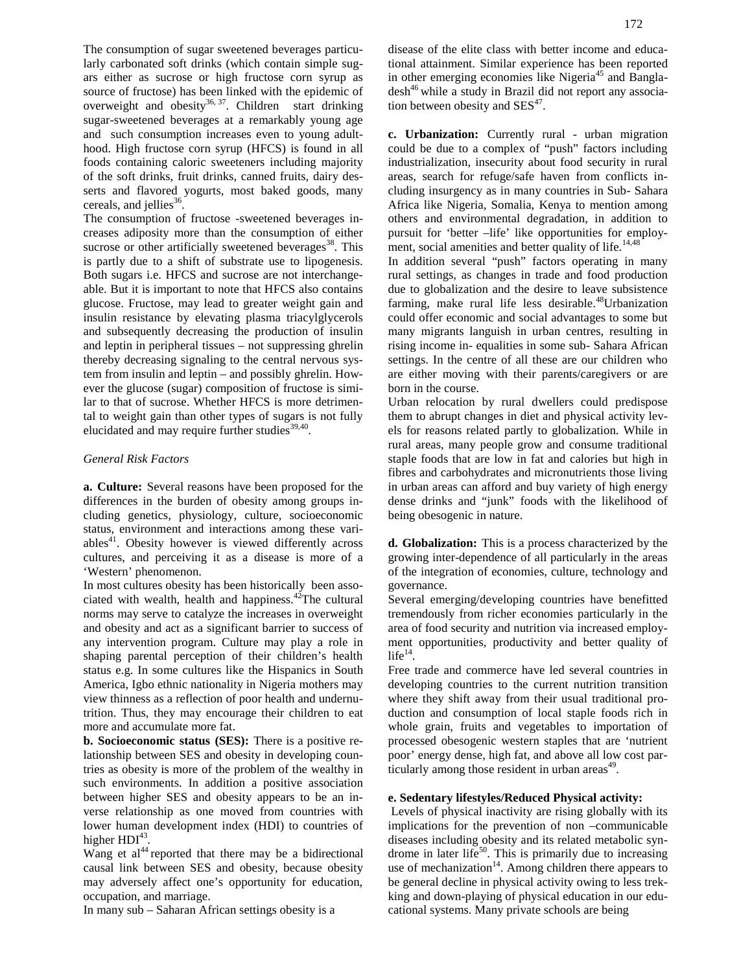The consumption of sugar sweetened beverages particularly carbonated soft drinks (which contain simple sugars either as sucrose or high fructose corn syrup as source of fructose) has been linked with the epidemic of overweight and obesity<sup>36, 37</sup>. Children start drinking sugar-sweetened beverages at a remarkably young age and such consumption increases even to young adulthood. High fructose corn syrup (HFCS) is found in all foods containing caloric sweeteners including majority of the soft drinks, fruit drinks, canned fruits, dairy desserts and flavored yogurts, most baked goods, many cereals, and jellies $36$ .

The consumption of fructose -sweetened beverages increases adiposity more than the consumption of either sucrose or other artificially sweetened beverages $38$ . This is partly due to a shift of substrate use to lipogenesis. Both sugars i.e. HFCS and sucrose are not interchangeable. But it is important to note that HFCS also contains glucose. Fructose, may lead to greater weight gain and insulin resistance by elevating plasma triacylglycerols and subsequently decreasing the production of insulin and leptin in peripheral tissues – not suppressing ghrelin thereby decreasing signaling to the central nervous system from insulin and leptin – and possibly ghrelin. However the glucose (sugar) composition of fructose is similar to that of sucrose. Whether HFCS is more detrimental to weight gain than other types of sugars is not fully elucidated and may require further studies<sup>39,40</sup>.

## *General Risk Factors*

**a. Culture:** Several reasons have been proposed for the differences in the burden of obesity among groups including genetics, physiology, culture, socioeconomic status, environment and interactions among these variables<sup>41</sup>. Obesity however is viewed differently across cultures, and perceiving it as a disease is more of a 'Western' phenomenon.

In most cultures obesity has been historically been associated with wealth, health and happiness. $42$ The cultural norms may serve to catalyze the increases in overweight and obesity and act as a significant barrier to success of any intervention program. Culture may play a role in shaping parental perception of their children's health status e.g. In some cultures like the Hispanics in South America, Igbo ethnic nationality in Nigeria mothers may view thinness as a reflection of poor health and undernutrition. Thus, they may encourage their children to eat more and accumulate more fat.

**b. Socioeconomic status (SES):** There is a positive relationship between SES and obesity in developing countries as obesity is more of the problem of the wealthy in such environments. In addition a positive association between higher SES and obesity appears to be an inverse relationship as one moved from countries with lower human development index (HDI) to countries of higher  $HDI^{43}$ . .

Wang et  $al<sup>44</sup>$  reported that there may be a bidirectional causal link between SES and obesity, because obesity may adversely affect one's opportunity for education, occupation, and marriage.

In many sub – Saharan African settings obesity is a

disease of the elite class with better income and educational attainment. Similar experience has been reported in other emerging economies like Nigeria<sup>45</sup> and Bangladesh<sup>46</sup> while a study in Brazil did not report any association between obesity and  $SES<sup>47</sup>$ .

**c. Urbanization:** Currently rural - urban migration could be due to a complex of "push" factors including industrialization, insecurity about food security in rural areas, search for refuge/safe haven from conflicts including insurgency as in many countries in Sub- Sahara Africa like Nigeria, Somalia, Kenya to mention among others and environmental degradation, in addition to pursuit for 'better –life' like opportunities for employment, social amenities and better quality of life.<sup>14,48</sup>

In addition several "push" factors operating in many rural settings, as changes in trade and food production due to globalization and the desire to leave subsistence farming, make rural life less desirable.<sup>48</sup>Urbanization could offer economic and social advantages to some but many migrants languish in urban centres, resulting in rising income in- equalities in some sub- Sahara African settings. In the centre of all these are our children who are either moving with their parents/caregivers or are born in the course.

Urban relocation by rural dwellers could predispose them to abrupt changes in diet and physical activity levels for reasons related partly to globalization. While in rural areas, many people grow and consume traditional staple foods that are low in fat and calories but high in fibres and carbohydrates and micronutrients those living in urban areas can afford and buy variety of high energy dense drinks and "junk" foods with the likelihood of being obesogenic in nature.

**d. Globalization:** This is a process characterized by the growing inter-dependence of all particularly in the areas of the integration of economies, culture, technology and governance.

Several emerging/developing countries have benefitted tremendously from richer economies particularly in the area of food security and nutrition via increased employment opportunities, productivity and better quality of  $life^{14}$ .

Free trade and commerce have led several countries in developing countries to the current nutrition transition where they shift away from their usual traditional production and consumption of local staple foods rich in whole grain, fruits and vegetables to importation of processed obesogenic western staples that are 'nutrient poor' energy dense, high fat, and above all low cost par $t$ icularly among those resident in urban areas $49$ .

## **e. Sedentary lifestyles/Reduced Physical activity:**

Levels of physical inactivity are rising globally with its implications for the prevention of non –communicable diseases including obesity and its related metabolic syndrome in later life<sup>50</sup>. This is primarily due to increasing use of mechanization $14$ . Among children there appears to be general decline in physical activity owing to less trekking and down-playing of physical education in our educational systems. Many private schools are being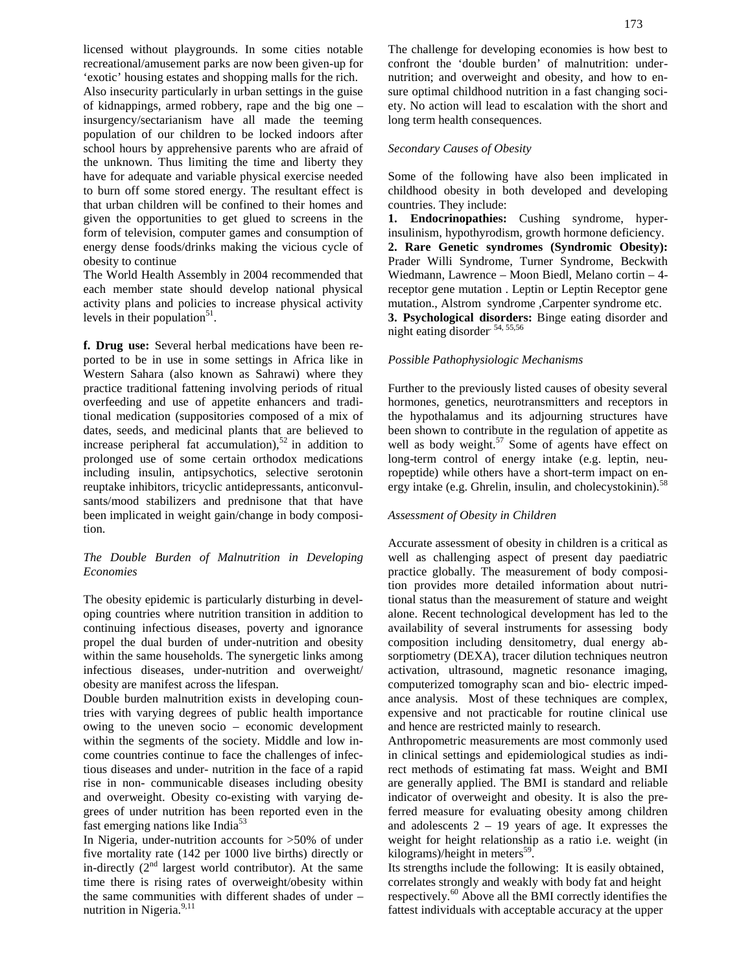licensed without playgrounds. In some cities notable recreational/amusement parks are now been given-up for 'exotic' housing estates and shopping malls for the rich. Also insecurity particularly in urban settings in the guise of kidnappings, armed robbery, rape and the big one – insurgency/sectarianism have all made the teeming population of our children to be locked indoors after school hours by apprehensive parents who are afraid of the unknown. Thus limiting the time and liberty they have for adequate and variable physical exercise needed to burn off some stored energy. The resultant effect is that urban children will be confined to their homes and given the opportunities to get glued to screens in the form of television, computer games and consumption of energy dense foods/drinks making the vicious cycle of obesity to continue

The World Health Assembly in 2004 recommended that each member state should develop national physical activity plans and policies to increase physical activity levels in their population<sup>51</sup>.

**f. Drug use:** Several herbal medications have been reported to be in use in some settings in Africa like in Western Sahara (also known as Sahrawi) where they practice traditional fattening involving periods of ritual overfeeding and use of appetite enhancers and traditional medication (suppositories composed of a mix of dates, seeds, and medicinal plants that are believed to increase peripheral fat accumulation),<sup>52</sup> in addition to prolonged use of some certain orthodox medications including insulin, antipsychotics, selective serotonin reuptake inhibitors, tricyclic antidepressants, anticonvulsants/mood stabilizers and prednisone that that have been implicated in weight gain/change in body composition.

## *The Double Burden of Malnutrition in Developing Economies*

The obesity epidemic is particularly disturbing in developing countries where nutrition transition in addition to continuing infectious diseases, poverty and ignorance propel the dual burden of under-nutrition and obesity within the same households. The synergetic links among infectious diseases, under-nutrition and overweight/ obesity are manifest across the lifespan.

Double burden malnutrition exists in developing countries with varying degrees of public health importance owing to the uneven socio – economic development within the segments of the society. Middle and low income countries continue to face the challenges of infectious diseases and under- nutrition in the face of a rapid rise in non- communicable diseases including obesity and overweight. Obesity co-existing with varying degrees of under nutrition has been reported even in the fast emerging nations like India<sup>53</sup>

In Nigeria, under-nutrition accounts for >50% of under five mortality rate (142 per 1000 live births) directly or in-directly  $(2<sup>nd</sup>$  largest world contributor). At the same time there is rising rates of overweight/obesity within the same communities with different shades of under – nutrition in Nigeria. $9,11$ 

The challenge for developing economies is how best to confront the 'double burden' of malnutrition: under nutrition; and overweight and obesity, and how to ensure optimal childhood nutrition in a fast changing society. No action will lead to escalation with the short and long term health consequences.

## *Secondary Causes of Obesity*

Some of the following have also been implicated in childhood obesity in both developed and developing countries. They include:

**1. Endocrinopathies:** Cushing syndrome, hyperinsulinism, hypothyrodism, growth hormone deficiency. **2. Rare Genetic syndromes (Syndromic Obesity):** Prader Willi Syndrome, Turner Syndrome, Beckwith Wiedmann, Lawrence – Moon Biedl, Melano cortin – 4 receptor gene mutation . Leptin or Leptin Receptor gene mutation., Alstrom syndrome ,Carpenter syndrome etc. **3. Psychological disorders:** Binge eating disorder and night eating disorder. 54, 55,56

#### *Possible Pathophysiologic Mechanisms*

Further to the previously listed causes of obesity several hormones, genetics, neurotransmitters and receptors in the hypothalamus and its adjourning structures have been shown to contribute in the regulation of appetite as well as body weight. $57$  Some of agents have effect on long-term control of energy intake (e.g. leptin, neuropeptide) while others have a short-term impact on energy intake (e.g. Ghrelin, insulin, and cholecystokinin).<sup>58</sup>

#### *Assessment of Obesity in Children*

Accurate assessment of obesity in children is a critical as well as challenging aspect of present day paediatric practice globally. The measurement of body composition provides more detailed information about nutritional status than the measurement of stature and weight alone. Recent technological development has led to the availability of several instruments for assessing body composition including densitometry, dual energy absorptiometry (DEXA), tracer dilution techniques neutron activation, ultrasound, magnetic resonance imaging, computerized tomography scan and bio- electric impedance analysis. Most of these techniques are complex, expensive and not practicable for routine clinical use and hence are restricted mainly to research.

Anthropometric measurements are most commonly used in clinical settings and epidemiological studies as indirect methods of estimating fat mass. Weight and BMI are generally applied. The BMI is standard and reliable indicator of overweight and obesity. It is also the preferred measure for evaluating obesity among children and adolescents  $2 - 19$  years of age. It expresses the weight for height relationship as a ratio i.e. weight (in kilograms)/height in meters<sup>59</sup>.

Its strengths include the following: It is easily obtained, correlates strongly and weakly with body fat and height respectively.<sup>60</sup> Above all the BMI correctly identifies the fattest individuals with acceptable accuracy at the upper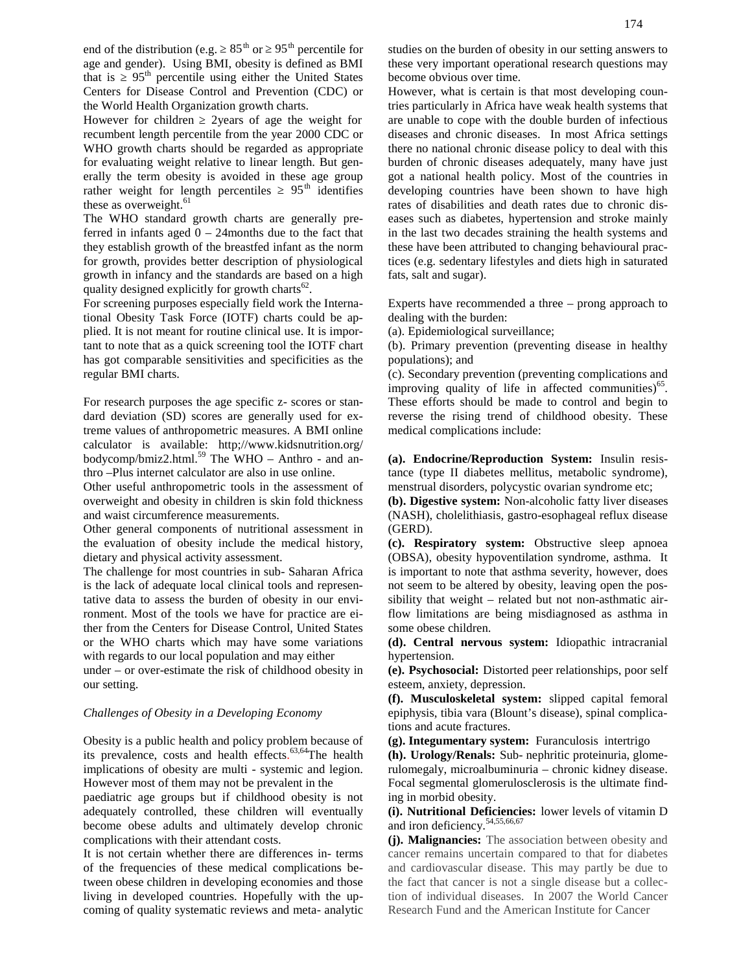end of the distribution (e.g.  $85<sup>th</sup>$  or  $95<sup>th</sup>$  percentile for age and gender). Using BMI, obesity is defined as BMI that is  $95<sup>th</sup>$  percentile using either the United States Centers for Disease Control and Prevention (CDC) or the World Health Organization growth charts.

However for children 2years of age the weight for recumbent length percentile from the year 2000 CDC or WHO growth charts should be regarded as appropriate for evaluating weight relative to linear length. But generally the term obesity is avoided in these age group rather weight for length percentiles  $95<sup>th</sup>$  identifies rather weight for length percentiles these as overweight. $61$ 

The WHO standard growth charts are generally preferred in infants aged  $0 - 24$  months due to the fact that they establish growth of the breastfed infant as the norm for growth, provides better description of physiological growth in infancy and the standards are based on a high quality designed explicitly for growth charts<sup>62</sup>.

For screening purposes especially field work the International Obesity Task Force (IOTF) charts could be applied. It is not meant for routine clinical use. It is important to note that as a quick screening tool the IOTF chart has got comparable sensitivities and specificities as the regular BMI charts.

For research purposes the age specific z- scores or standard deviation (SD) scores are generally used for extreme values of anthropometric measures. A BMI online calculator is available: http;//www.kidsnutrition.org/ bodycomp/bmiz2.html.<sup>59</sup> The WHO – Anthro - and anthro –Plus internet calculator are also in use online.

Other useful anthropometric tools in the assessment of overweight and obesity in children is skin fold thickness and waist circumference measurements.

Other general components of nutritional assessment in the evaluation of obesity include the medical history, dietary and physical activity assessment.

The challenge for most countries in sub- Saharan Africa is the lack of adequate local clinical tools and representative data to assess the burden of obesity in our environment. Most of the tools we have for practice are either from the Centers for Disease Control, United States or the WHO charts which may have some variations with regards to our local population and may either under – or over-estimate the risk of childhood obesity in our setting.

### *Challenges of Obesity in a Developing Economy*

Obesity is a public health and policy problem because of its prevalence, costs and health effects.<sup>63,64</sup>The health implications of obesity are multi - systemic and legion. However most of them may not be prevalent in the

paediatric age groups but if childhood obesity is not adequately controlled, these children will eventually become obese adults and ultimately develop chronic complications with their attendant costs.

It is not certain whether there are differences in- terms of the frequencies of these medical complications between obese children in developing economies and those living in developed countries. Hopefully with the up coming of quality systematic reviews and meta- analytic studies on the burden of obesity in our setting answers to these very important operational research questions may become obvious over time.

However, what is certain is that most developing countries particularly in Africa have weak health systems that are unable to cope with the double burden of infectious diseases and chronic diseases. In most Africa settings there no national chronic disease policy to deal with this burden of chronic diseases adequately, many have just got a national health policy. Most of the countries in developing countries have been shown to have high rates of disabilities and death rates due to chronic diseases such as diabetes, hypertension and stroke mainly in the last two decades straining the health systems and these have been attributed to changing behavioural practices (e.g. sedentary lifestyles and diets high in saturated fats, salt and sugar).

Experts have recommended a three – prong approach to dealing with the burden:

(a). Epidemiological surveillance;

(b). Primary prevention (preventing disease in healthy populations); and

(c). Secondary prevention (preventing complications and improving quality of life in affected communities)<sup>65</sup>. These efforts should be made to control and begin to reverse the rising trend of childhood obesity. These medical complications include:

**(a). Endocrine/Reproduction System:** Insulin resistance (type II diabetes mellitus, metabolic syndrome), menstrual disorders, polycystic ovarian syndrome etc;

**(b). Digestive system:** Non-alcoholic fatty liver diseases (NASH), cholelithiasis, gastro-esophageal reflux disease (GERD).

**(c). Respiratory system:** Obstructive sleep apnoea (OBSA), obesity hypoventilation syndrome, asthma. It is important to note that asthma severity, however, does not seem to be altered by obesity, leaving open the possibility that weight – related but not non-asthmatic airflow limitations are being misdiagnosed as asthma in some obese children.

**(d). Central nervous system:** Idiopathic intracranial hypertension.

**(e). Psychosocial:** Distorted peer relationships, poor self esteem, anxiety, depression.

**(f). Musculoskeletal system:** slipped capital femoral epiphysis, tibia vara (Blount's disease), spinal complications and acute fractures.

**(g). Integumentary system:** Furanculosis intertrigo

**(h). Urology/Renals:** Sub- nephritic proteinuria, glomerulomegaly, microalbuminuria – chronic kidney disease. Focal segmental glomerulosclerosis is the ultimate finding in morbid obesity.

**(i). Nutritional Deficiencies:** lower levels of vitamin D and iron deficiency.<sup>54,55,66,67</sup>

**(j). Malignancies:** The association between obesity and cancer remains uncertain compared to that for diabetes and cardiovascular disease. This may partly be due to the fact that cancer is not a single disease but a collection of individual diseases. In 2007 the World Cancer Research Fund and the American Institute for Cancer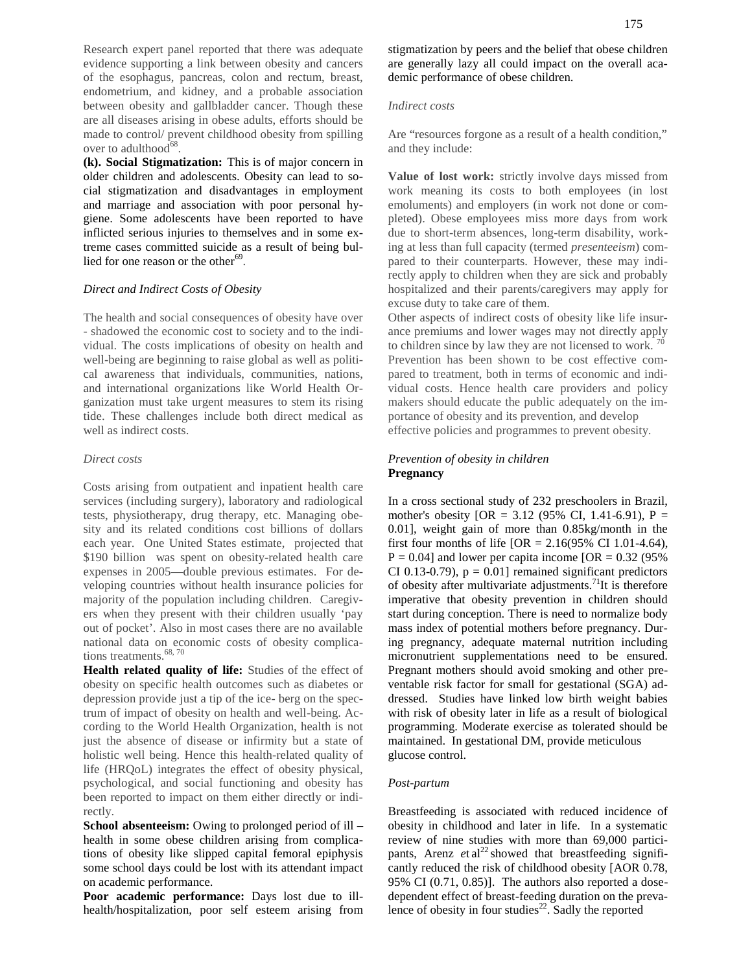Research expert panel reported that there was adequate evidence supporting a link between obesity and cancers of the esophagus, pancreas, colon and rectum, breast, endometrium, and kidney, and a probable association between obesity and gallbladder cancer. Though these are all diseases arising in obese adults, efforts should be made to control/ prevent childhood obesity from spilling over to adulthood $\overline{68}$ .

**(k). Social Stigmatization:** This is of major concern in older children and adolescents. Obesity can lead to social stigmatization and disadvantages in employment and marriage and association with poor personal hygiene. Some adolescents have been reported to have inflicted serious injuries to themselves and in some extreme cases committed suicide as a result of being bullied for one reason or the other<sup>69</sup>.

## *Direct and Indirect Costs of Obesity*

The health and social consequences of obesity have over - shadowed the economic cost to society and to the individual. The costs implications of obesity on health and well-being are beginning to raise global as well as political awareness that individuals, communities, nations, and international organizations like World Health Organization must take urgent measures to stem its rising tide. These challenges include both direct medical as well as indirect costs.

#### *Direct costs*

Costs arising from outpatient and inpatient health care services (including surgery), laboratory and radiological tests, physiotherapy, drug therapy, etc. Managing obesity and its related conditions cost billions of dollars each year. One United States estimate, projected that \$190 billion was spent on obesity-related health care expenses in 2005—double previous estimates. For developing countries without health insurance policies for majority of the population including children. Caregivers when they present with their children usually 'pay out of pocket'. Also in most cases there are no available national data on economic costs of obesity complications treatments. $^{68, 70}$ 

**Health related quality of life:** Studies of the effect of obesity on specific health outcomes such as diabetes or depression provide just a tip of the ice- berg on the spectrum of impact of obesity on health and well-being. According to the World Health Organization, health is not just the absence of disease or infirmity but a state of holistic well being. Hence this health-related quality of life (HRQoL) integrates the effect of obesity physical, psychological, and social functioning and obesity has been reported to impact on them either directly or indirectly.

**School absenteeism:** Owing to prolonged period of ill – health in some obese children arising from complications of obesity like slipped capital femoral epiphysis some school days could be lost with its attendant impact on academic performance.

**Poor academic performance:** Days lost due to ill health/hospitalization, poor self esteem arising from stigmatization by peers and the belief that obese children are generally lazy all could impact on the overall academic performance of obese children.

## *Indirect costs*

Are "resources forgone as a result of a health condition," and they include:

**Value of lost work:** strictly involve days missed from work meaning its costs to both employees (in lost emoluments) and employers (in work not done or completed). Obese employees miss more days from work due to short-term absences, long-term disability, working at less than full capacity (termed *presenteeism*) compared to their counterparts. However, these may indirectly apply to children when they are sick and probably hospitalized and their parents/caregivers may apply for excuse duty to take care of them.

Other aspects of indirect costs of obesity like life insurance premiums and lower wages may not directly apply to children since by law they are not licensed to work.<sup>7</sup> Prevention has been shown to be cost effective compared to treatment, both in terms of economic and individual costs. Hence health care providers and policy makers should educate the public adequately on the importance of obesity and its prevention, and develop effective policies and programmes to prevent obesity.

## *Prevention of obesity in children* **Pregnancy**

In a cross sectional study of 232 preschoolers in Brazil, mother's obesity  $[OR = 3.12 (95\% \text{ CI}, 1.41-6.91), P =$ 0.01], weight gain of more than 0.85kg/month in the first four months of life  $[OR = 2.16(95\% \text{ CI } 1.01-4.64)]$ ,  $P = 0.04$ ] and lower per capita income [OR = 0.32 (95%) CI 0.13-0.79),  $p = 0.01$  remained significant predictors of obesity after multivariate adjustments.<sup>71</sup>It is therefore imperative that obesity prevention in children should start during conception. There is need to normalize body mass index of potential mothers before pregnancy. During pregnancy, adequate maternal nutrition including micronutrient supplementations need to be ensured. Pregnant mothers should avoid smoking and other preventable risk factor for small for gestational (SGA) addressed. Studies have linked low birth weight babies with risk of obesity later in life as a result of biological programming. Moderate exercise as tolerated should be maintained. In gestational DM, provide meticulous glucose control.

#### *Post-partum*

Breastfeeding is associated with reduced incidence of obesity in childhood and later in life. In a systematic review of nine studies with more than 69,000 participants, Arenz  $e$ t al<sup>22</sup> showed that breastfeeding significantly reduced the risk of childhood obesity [AOR 0.78, 95% CI (0.71, 0.85)]. The authors also reported a dose dependent effect of breast-feeding duration on the prevalence of obesity in four studies<sup>22</sup>. Sadly the reported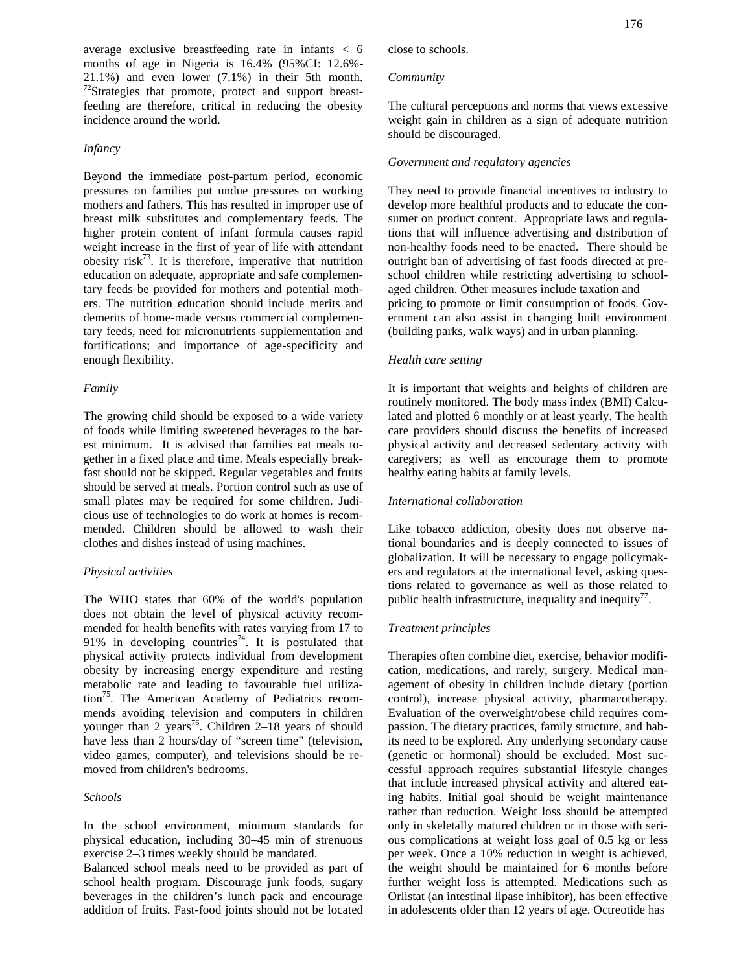average exclusive breastfeeding rate in infants < 6 months of age in Nigeria is 16.4% (95%CI: 12.6%- 21.1%) and even lower (7.1%) in their 5th month.<br><sup>72</sup>Strategies that promote, protect and support breastfeeding are therefore, critical in reducing the obesity incidence around the world.

## *Infancy*

Beyond the immediate post-partum period, economic pressures on families put undue pressures on working mothers and fathers. This has resulted in improper use of breast milk substitutes and complementary feeds. The higher protein content of infant formula causes rapid weight increase in the first of year of life with attendant obesity risk<sup>73</sup>. It is therefore, imperative that nutrition education on adequate, appropriate and safe complementary feeds be provided for mothers and potential mothers. The nutrition education should include merits and demerits of home-made versus commercial complementary feeds, need for micronutrients supplementation and fortifications; and importance of age-specificity and enough flexibility.

#### *Family*

The growing child should be exposed to a wide variety of foods while limiting sweetened beverages to the barest minimum. It is advised that families eat meals together in a fixed place and time. Meals especially breakfast should not be skipped. Regular vegetables and fruits should be served at meals. Portion control such as use of small plates may be required for some children. Judicious use of technologies to do work at homes is recommended. Children should be allowed to wash their clothes and dishes instead of using machines.

#### *Physical activities*

The WHO states that 60% of the world's population does not obtain the level of physical activity recommended for health benefits with rates varying from 17 to 91% in developing countries<sup>74</sup>. It is postulated that physical activity protects individual from development obesity by increasing energy expenditure and resting metabolic rate and leading to favourable fuel utilization<sup>75</sup>. The American Academy of Pediatrics recommends avoiding television and computers in children younger than 2 years<sup>76</sup>. Children 2–18 years of should have less than 2 hours/day of "screen time" (television, video games, computer), and televisions should be removed from children's bedrooms.

## *Schools*

In the school environment, minimum standards for physical education, including 30–45 min of strenuous exercise 2–3 times weekly should be mandated.

Balanced school meals need to be provided as part of school health program. Discourage junk foods, sugary beverages in the children's lunch pack and encourage addition of fruits. Fast-food joints should not be located close to schools.

#### *Community*

The cultural perceptions and norms that views excessive weight gain in children as a sign of adequate nutrition should be discouraged.

## *Government and regulatory agencies*

They need to provide financial incentives to industry to develop more healthful products and to educate the consumer on product content. Appropriate laws and regulations that will influence advertising and distribution of non-healthy foods need to be enacted. There should be outright ban of advertising of fast foods directed at preschool children while restricting advertising to school aged children. Other measures include taxation and pricing to promote or limit consumption of foods. Government can also assist in changing built environment (building parks, walk ways) and in urban planning.

## *Health care setting*

It is important that weights and heights of children are routinely monitored. The body mass index (BMI) Calculated and plotted 6 monthly or at least yearly. The health care providers should discuss the benefits of increased physical activity and decreased sedentary activity with caregivers; as well as encourage them to promote healthy eating habits at family levels.

#### *International collaboration*

Like tobacco addiction, obesity does not observe national boundaries and is deeply connected to issues of globalization. It will be necessary to engage policymakers and regulators at the international level, asking questions related to governance as well as those related to public health infrastructure, inequality and inequity<sup>77</sup>.

## *Treatment principles*

Therapies often combine diet, exercise, behavior modification, medications, and rarely, surgery. Medical management of obesity in children include dietary (portion control), increase physical activity, pharmacotherapy. Evaluation of the overweight/obese child requires compassion. The dietary practices, family structure, and habits need to be explored. Any underlying secondary cause (genetic or hormonal) should be excluded. Most successful approach requires substantial lifestyle changes that include increased physical activity and altered eating habits. Initial goal should be weight maintenance rather than reduction. Weight loss should be attempted only in skeletally matured children or in those with serious complications at weight loss goal of 0.5 kg or less per week. Once a 10% reduction in weight is achieved, the weight should be maintained for 6 months before further weight loss is attempted. Medications such as Orlistat (an intestinal lipase inhibitor), has been effective in adolescents older than 12 years of age. Octreotide has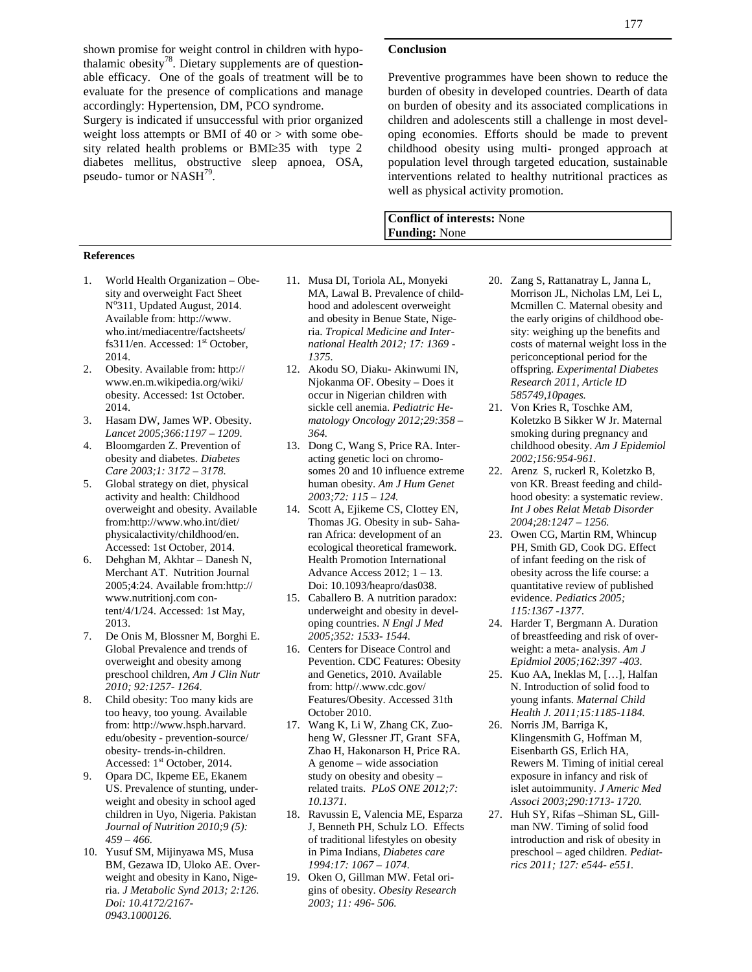shown promise for weight control in children with hypothalamic obesity<sup>78</sup>. Dietary supplements are of questionable efficacy. One of the goals of treatment will be to evaluate for the presence of complications and manage accordingly: Hypertension, DM, PCO syndrome.

Surgery is indicated if unsuccessful with prior organized weight loss attempts or BMI of 40 or > with some obesity related health problems or BMI 35 with type 2 diabetes mellitus, obstructive sleep apnoea, OSA, pseudo- tumor or NASH<sup>79</sup>.

#### **References**

- 1. World Health Organization Obesity and overweight Fact Sheet N°311, Updated August, 2014. Available from: http://www. who.int/mediacentre/factsheets/ fs $311$ /en. Accessed:  $1<sup>st</sup>$  October, 2014.
- 2. Obesity. Available from: http:// www.en.m.wikipedia.org/wiki/ obesity. Accessed: 1st October. 2014.
- 3. Hasam DW, James WP. Obesity. *Lancet 2005;366:1197 – 1209.*
- 4. Bloomgarden Z. Prevention of obesity and diabetes. *Diabetes Care 2003;1: 3172 – 3178.*
- 5. Global strategy on diet, physical activity and health: Childhood overweight and obesity. Available from:http://www.who.int/diet/ physicalactivity/childhood/en. Accessed: 1st October, 2014.
- 6. Dehghan M, Akhtar Danesh N, Merchant AT. Nutrition Journal 2005;4:24. Available from:http:// www.nutritionj.com content/4/1/24. Accessed: 1st May, 2013.
- 7. De Onis M, Blossner M, Borghi E. Global Prevalence and trends of overweight and obesity among preschool children, *Am J Clin Nutr 2010; 92:1257- 1264*.
- 8. Child obesity: Too many kids are too heavy, too young. Available from: http://www.hsph.harvard. edu/obesity - prevention-source/ obesity- trends-in-children. Accessed: 1<sup>st</sup> October, 2014.
- 9. Opara DC, Ikpeme EE, Ekanem US. Prevalence of stunting, underweight and obesity in school aged children in Uyo, Nigeria. Pakistan *Journal of Nutrition 2010;9 (5): 459 – 466.*
- 10. Yusuf SM, Mijinyawa MS, Musa BM, Gezawa ID, Uloko AE. Overweight and obesity in Kano, Nigeria. *J Metabolic Synd 2013; 2:126. Doi: 10.4172/2167- 0943.1000126.*
- 11. Musa DI, Toriola AL, Monyeki MA, Lawal B. Prevalence of childhood and adolescent overweight and obesity in Benue State, Nigeria. *Tropical Medicine and International Health 2012; 17: 1369 - 1375.*
- 12. Akodu SO, Diaku- Akinwumi IN, Njokanma OF. Obesity – Does it occur in Nigerian children with sickle cell anemia. *Pediatric Hematology Oncology 2012;29:358 – 364.*
- 13. Dong C, Wang S, Price RA. Interacting genetic loci on chromosomes 20 and 10 influence extreme human obesity. *Am J Hum Genet 2003;72: 115 – 124.*
- 14. Scott A, Ejikeme CS, Clottey EN, Thomas JG. Obesity in sub- Saharan Africa: development of an ecological theoretical framework. Health Promotion International Advance Access 2012; 1 – 13. Doi: 10.1093/heapro/das038.
- 15. Caballero B. A nutrition paradox: underweight and obesity in developing countries. *N Engl J Med 2005;352: 1533- 1544.*
- 16. Centers for Diseace Control and Pevention. CDC Features: Obesity and Genetics, 2010. Available from: http//.www.cdc.gov/ Features/Obesity. Accessed 31th October 2010.
- 17. Wang K, Li W, Zhang CK, Zuoheng W, Glessner JT, Grant SFA, Zhao H, Hakonarson H, Price RA. A genome – wide association study on obesity and obesity – related traits. *PLoS ONE 2012;7: 10.1371.*
- 18. Ravussin E, Valencia ME, Esparza J, Benneth PH, Schulz LO. Effects of traditional lifestyles on obesity in Pima Indians, *Diabetes care 1994:17: 1067 – 1074*.
- 19. Oken O, Gillman MW. Fetal origins of obesity. *Obesity Research 2003; 11: 496- 506.*

## **Conclusion**

Preventive programmes have been shown to reduce the burden of obesity in developed countries. Dearth of data on burden of obesity and its associated complications in children and adolescents still a challenge in most developing economies. Efforts should be made to prevent childhood obesity using multi- pronged approach at population level through targeted education, sustainable interventions related to healthy nutritional practices as well as physical activity promotion.

## **Conflict of interests:** None **Funding:** None

- 20. Zang S, Rattanatray L, Janna L, Morrison JL, Nicholas LM, Lei L, Mcmillen C. Maternal obesity and the early origins of childhood obesity: weighing up the benefits and costs of maternal weight loss in the periconceptional period for the offspring. *Experimental Diabetes Research 2011, Article ID 585749,10pages.*
- 21. Von Kries R, Toschke AM, Koletzko B Sikker W Jr. Maternal smoking during pregnancy and childhood obesity. *Am J Epidemiol 2002;156:954-961.*
- 22. Arenz S, ruckerl R, Koletzko B, von KR. Breast feeding and childhood obesity: a systematic review. *Int J obes Relat Metab Disorder 2004;28:1247 – 1256.*
- 23. Owen CG, Martin RM, Whincup PH, Smith GD, Cook DG. Effect of infant feeding on the risk of obesity across the life course: a quantitative review of published evidence. *Pediatics 2005; 115:1367 -1377.*
- 24. Harder T, Bergmann A. Duration of breastfeeding and risk of overweight: a meta- analysis. *Am J Epidmiol 2005;162:397 -403.*
- 25. Kuo AA, Ineklas M, […], Halfan N. Introduction of solid food to young infants. *Maternal Child Health J. 2011;15:1185-1184.*
- 26. Norris JM, Barriga K, Klingensmith G, Hoffman M, Eisenbarth GS, Erlich HA, Rewers M. Timing of initial cereal exposure in infancy and risk of islet autoimmunity. *J Americ Med Associ 2003;290:1713- 1720.*
- 27. Huh SY, Rifas –Shiman SL, Gillman NW. Timing of solid food introduction and risk of obesity in preschool – aged children. *Pediatrics 2011; 127: e544- e551.*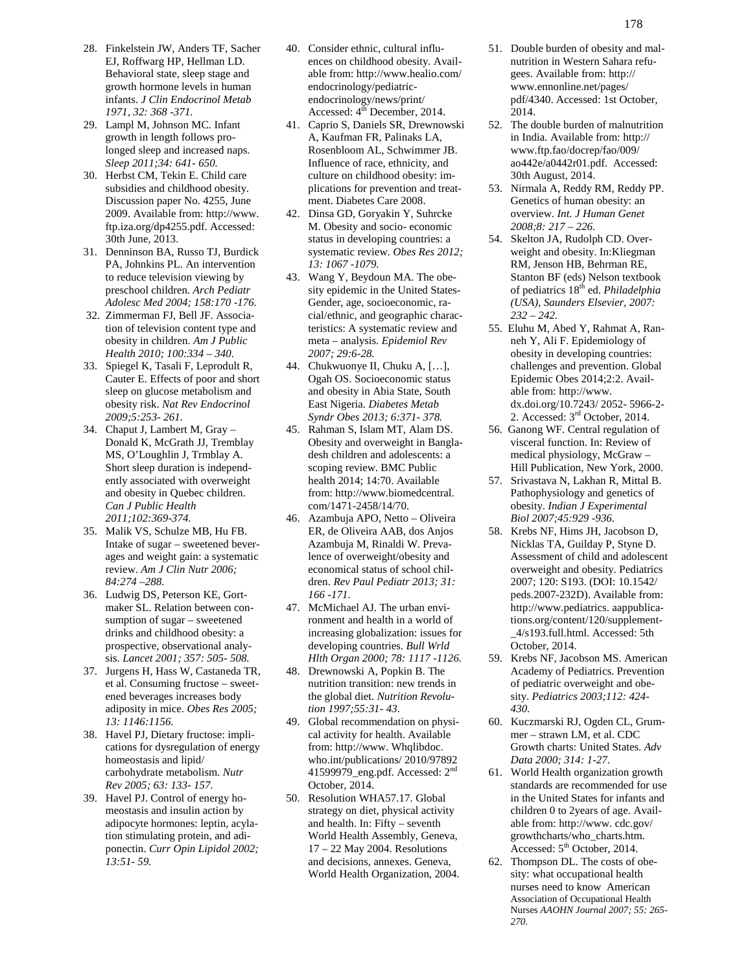- 28. Finkelstein JW, Anders TF, Sacher EJ, Roffwarg HP, Hellman LD. Behavioral state, sleep stage and growth hormone levels in human infants. *J Clin Endocrinol Metab 1971, 32: 368 -371.*
- 29. Lampl M, Johnson MC. Infant growth in length follows prolonged sleep and increased naps. *Sleep 2011;34: 641- 650.*
- 30. Herbst CM, Tekin E. Child care subsidies and childhood obesity. Discussion paper No. 4255, June 2009. Available from: http://www. ftp.iza.org/dp4255.pdf. Accessed: 30th June, 2013.
- 31. Denninson BA, Russo TJ, Burdick PA, Johnkins PL. An intervention to reduce television viewing by preschool children. *Arch Pediatr Adolesc Med 2004; 158:170 -176.*
- 32. Zimmerman FJ, Bell JF. Association of television content type and obesity in children. *Am J Public Health 2010; 100:334 – 340.*
- 33. Spiegel K, Tasali F, Leprodult R, Cauter E. Effects of poor and short sleep on glucose metabolism and obesity risk. *Nat Rev Endocrinol 2009;5:253- 261.*
- 34. Chaput J, Lambert M, Gray Donald K, McGrath JJ, Tremblay MS, O'Loughlin J, Trmblay A. Short sleep duration is independently associated with overweight and obesity in Quebec children. *Can J Public Health 2011;102:369-374.*
- 35. Malik VS, Schulze MB, Hu FB. Intake of sugar – sweetened beverages and weight gain: a systematic review. *Am J Clin Nutr 2006; 84:274 –288.*
- 36. Ludwig DS, Peterson KE, Gortmaker SL. Relation between consumption of sugar – sweetened drinks and childhood obesity: a prospective, observational analysis. *Lancet 2001; 357: 505- 508.*
- 37. Jurgens H, Hass W, Castaneda TR, et al. Consuming fructose – sweetened beverages increases body adiposity in mice. *Obes Res 2005; 13: 1146:1156.*
- 38. Havel PJ, Dietary fructose: implications for dysregulation of energy homeostasis and lipid/ carbohydrate metabolism. *Nutr Rev 2005; 63: 133- 157.*
- 39. Havel PJ. Control of energy homeostasis and insulin action by adipocyte hormones: leptin, acylation stimulating protein, and adiponectin. *Curr Opin Lipidol 2002; 13:51- 59.*
- 40. Consider ethnic, cultural influences on childhood obesity. Available from: http://www.healio.com/ endocrinology/pediatric endocrinology/news/print/ Accessed:  $4^{\overline{th}}$  December, 2014.
- 41. Caprio S, Daniels SR, Drewnowski A, Kaufman FR, Palinaks LA, Rosenbloom AL, Schwimmer JB. Influence of race, ethnicity, and culture on childhood obesity: implications for prevention and treatment. Diabetes Care 2008.
- 42. Dinsa GD, Goryakin Y, Suhrcke M. Obesity and socio- economic status in developing countries: a systematic review. *Obes Res 2012; 13: 1067 -1079.*
- 43. Wang Y, Beydoun MA. The obesity epidemic in the United States- Gender, age, socioeconomic, racial/ethnic, and geographic characteristics: A systematic review and meta – analysis. *Epidemiol Rev 2007; 29:6-28.*
- 44. Chukwuonye II, Chuku A, […], Ogah OS. Socioeconomic status and obesity in Abia State, South East Nigeria. *Diabetes Metab Syndr Obes 2013; 6:371- 378.*
- 45. Rahman S, Islam MT, Alam DS. Obesity and overweight in Bangladesh children and adolescents: a scoping review. BMC Public health 2014; 14:70. Available from: http://www.biomedcentral. com/1471-2458/14/70.
- 46. Azambuja APO, Netto Oliveira ER, de Oliveira AAB, dos Anjos Azambuja M, Rinaldi W. Prevalence of overweight/obesity and economical status of school children. *Rev Paul Pediatr 2013; 31: 166 -171*.
- 47. McMichael AJ. The urban environment and health in a world of increasing globalization: issues for developing countries. *Bull Wrld Hlth Organ 2000; 78: 1117 -1126.*
- 48. Drewnowski A, Popkin B. The nutrition transition: new trends in the global diet. *Nutrition Revolution 1997;55:31- 43*.
- 49. Global recommendation on physical activity for health. Available from: http://www. Whqlibdoc. who.int/publications/ 2010/97892 41599979\_eng.pdf. Accessed: 2nd October, 2014.
- 50. Resolution WHA57.17. Global strategy on diet, physical activity and health. In: Fifty – seventh World Health Assembly, Geneva, 17 – 22 May 2004. Resolutions and decisions, annexes. Geneva, World Health Organization, 2004.
- 51. Double burden of obesity and malnutrition in Western Sahara refugees. Available from: http:// www.ennonline.net/pages/ pdf/4340. Accessed: 1st October, 2014.
- 52. The double burden of malnutrition in India. Available from: http:// www.ftp.fao/docrep/fao/009/ ao442e/a0442r01.pdf. Accessed: 30th August, 2014.
- 53. Nirmala A, Reddy RM, Reddy PP. Genetics of human obesity: an overview. *Int. J Human Genet 2008;8: 217 – 226.*
- 54. Skelton JA, Rudolph CD. Overweight and obesity. In:Kliegman RM, Jenson HB, Behrman RE, Stanton BF (eds) Nelson textbook of pediatrics 18th ed. *Philadelphia (USA), Saunders Elsevier, 2007: 232 – 242.*
- 55. Eluhu M, Abed Y, Rahmat A, Ranneh Y, Ali F. Epidemiology of obesity in developing countries: challenges and prevention. Global Epidemic Obes 2014;2:2. Available from: http://www. dx.doi.org/10.7243/ 2052- 5966-2- 2. Accessed: 3rd October, 2014.
- 56. Ganong WF. Central regulation of visceral function. In: Review of medical physiology, McGraw – Hill Publication, New York, 2000.
- 57. Srivastava N, Lakhan R, Mittal B. Pathophysiology and genetics of obesity. *Indian J Experimental Biol 2007;45:929 -936.*
- 58. Krebs NF, Hims JH, Jacobson D, Nicklas TA, Guilday P, Styne D. Assessment of child and adolescent overweight and obesity. Pediatrics 2007; 120: S193. (DOI: 10.1542/ peds.2007-232D). Available from: http://www.pediatrics. aappublications.org/content/120/supplement- \_4/s193.full.html. Accessed: 5th October, 2014.
- 59. Krebs NF, Jacobson MS. American Academy of Pediatrics. Prevention of pediatric overweight and obesity. *Pediatrics 2003;112: 424- 430.*
- 60. Kuczmarski RJ, Ogden CL, Grum mer – strawn LM, et al. CDC Growth charts: United States. *Adv Data 2000; 314: 1-27.*
- 61. World Health organization growth standards are recommended for use in the United States for infants and children 0 to 2years of age. Available from: http://www. cdc.gov/ growthcharts/who\_charts.htm. Accessed:  $5<sup>th</sup>$  October, 2014.
- 62. Thompson DL. The costs of obesity: what occupational health nurses need to know American Association of Occupational Health Nurses *AAOHN Journal 2007; 55: 265- 270.*